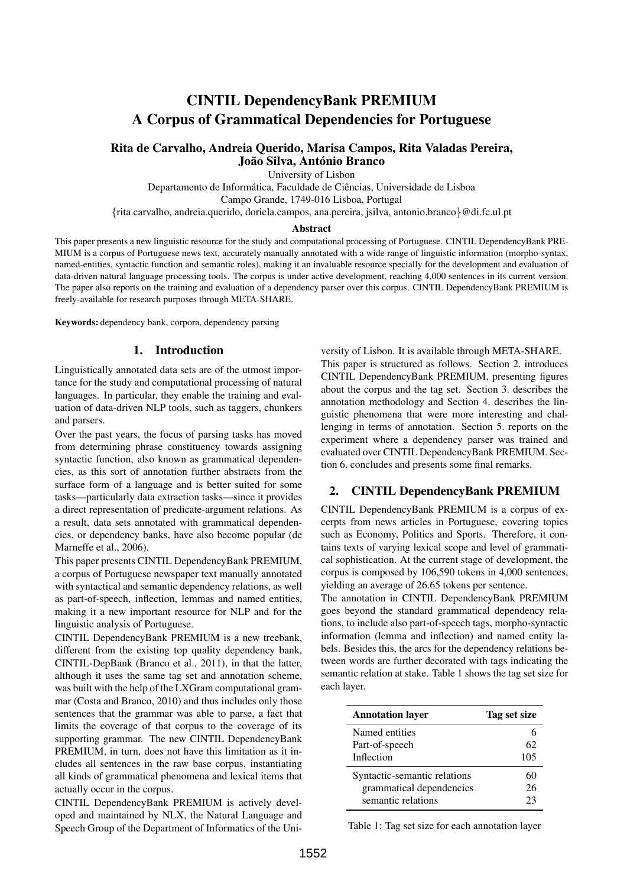# CINTIL DependencyBank PREMIUM A Corpus of Grammatical Dependencies for Portuguese

# Rita de Carvalho, Andreia Querido, Marisa Campos, Rita Valadas Pereira, João Silva, António Branco

University of Lisbon

Departamento de Informática, Faculdade de Ciências, Universidade de Lisboa Campo Grande, 1749-016 Lisboa, Portugal

{rita.carvalho, andreia.querido, doriela.campos, ana.pereira, jsilva, antonio.branco}@di.fc.ul.pt

#### Abstract

This paper presents a new linguistic resource for the study and computational processing of Portuguese. CINTIL DependencyBank PRE-MIUM is a corpus of Portuguese news text, accurately manually annotated with a wide range of linguistic information (morpho-syntax, named-entities, syntactic function and semantic roles), making it an invaluable resource specially for the development and evaluation of data-driven natural language processing tools. The corpus is under active development, reaching 4,000 sentences in its current version. The paper also reports on the training and evaluation of a dependency parser over this corpus. CINTIL DependencyBank PREMIUM is freely-available for research purposes through META-SHARE.

Keywords: dependency bank, corpora, dependency parsing

## 1. Introduction

Linguistically annotated data sets are of the utmost importance for the study and computational processing of natural languages. In particular, they enable the training and evaluation of data-driven NLP tools, such as taggers, chunkers and parsers.

Over the past years, the focus of parsing tasks has moved from determining phrase constituency towards assigning syntactic function, also known as grammatical dependencies, as this sort of annotation further abstracts from the surface form of a language and is better suited for some tasks—particularly data extraction tasks—since it provides a direct representation of predicate-argument relations. As a result, data sets annotated with grammatical dependencies, or dependency banks, have also become popular (de Marneffe et al., 2006).

This paper presents CINTIL DependencyBank PREMIUM, a corpus of Portuguese newspaper text manually annotated with syntactical and semantic dependency relations, as well as part-of-speech, inflection, lemmas and named entities, making it a new important resource for NLP and for the linguistic analysis of Portuguese.

CINTIL DependencyBank PREMIUM is a new treebank, different from the existing top quality dependency bank, CINTIL-DepBank (Branco et al., 2011), in that the latter, although it uses the same tag set and annotation scheme, was built with the help of the LXGram computational grammar (Costa and Branco, 2010) and thus includes only those sentences that the grammar was able to parse, a fact that limits the coverage of that corpus to the coverage of its supporting grammar. The new CINTIL DependencyBank PREMIUM, in turn, does not have this limitation as it includes all sentences in the raw base corpus, instantiating all kinds of grammatical phenomena and lexical items that actually occur in the corpus.

CINTIL DependencyBank PREMIUM is actively developed and maintained by NLX, the Natural Language and Speech Group of the Department of Informatics of the Uni-

versity of Lisbon. It is available through META-SHARE. This paper is structured as follows. Section 2. introduces CINTIL DependencyBank PREMIUM, presenting figures about the corpus and the tag set. Section 3. describes the annotation methodology and Section 4. describes the linguistic phenomena that were more interesting and challenging in terms of annotation. Section 5. reports on the experiment where a dependency parser was trained and evaluated over CINTIL DependencyBank PREMIUM. Section 6. concludes and presents some final remarks.

### 2. CINTIL DependencyBank PREMIUM

CINTIL DependencyBank PREMIUM is a corpus of excerpts from news articles in Portuguese, covering topics such as Economy, Politics and Sports. Therefore, it contains texts of varying lexical scope and level of grammatical sophistication. At the current stage of development, the corpus is composed by 106,590 tokens in 4,000 sentences, yielding an average of 26.65 tokens per sentence.

The annotation in CINTIL DependencyBank PREMIUM goes beyond the standard grammatical dependency relations, to include also part-of-speech tags, morpho-syntactic information (lemma and inflection) and named entity labels. Besides this, the arcs for the dependency relations between words are further decorated with tags indicating the semantic relation at stake. Table 1 shows the tag set size for each layer.

| <b>Annotation layer</b>      | Tag set size |
|------------------------------|--------------|
| Named entities               |              |
| Part-of-speech               | 62           |
| Inflection                   | 105          |
| Syntactic-semantic relations | 60           |
| grammatical dependencies     | 26           |
| semantic relations           | つる           |

Table 1: Tag set size for each annotation layer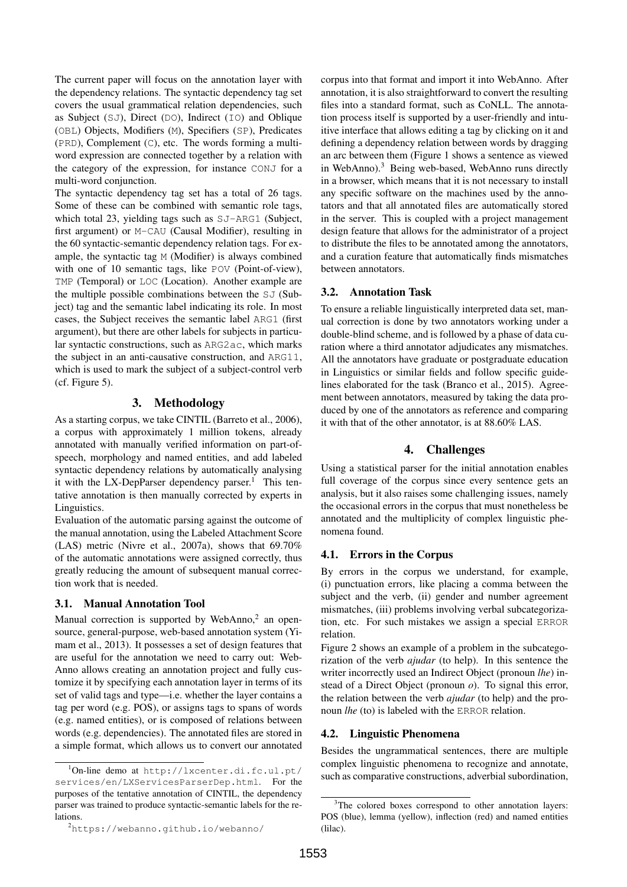The current paper will focus on the annotation layer with the dependency relations. The syntactic dependency tag set covers the usual grammatical relation dependencies, such as Subject (SJ), Direct (DO), Indirect (IO) and Oblique (OBL) Objects, Modifiers (M), Specifiers (SP), Predicates (PRD), Complement (C), etc. The words forming a multiword expression are connected together by a relation with the category of the expression, for instance CONJ for a multi-word conjunction.

The syntactic dependency tag set has a total of 26 tags. Some of these can be combined with semantic role tags, which total 23, yielding tags such as SJ-ARG1 (Subject, first argument) or M-CAU (Causal Modifier), resulting in the 60 syntactic-semantic dependency relation tags. For example, the syntactic tag M (Modifier) is always combined with one of 10 semantic tags, like POV (Point-of-view), TMP (Temporal) or LOC (Location). Another example are the multiple possible combinations between the SJ (Subject) tag and the semantic label indicating its role. In most cases, the Subject receives the semantic label ARG1 (first argument), but there are other labels for subjects in particular syntactic constructions, such as ARG2ac, which marks the subject in an anti-causative construction, and ARG11, which is used to mark the subject of a subject-control verb (cf. Figure 5).

# 3. Methodology

As a starting corpus, we take CINTIL (Barreto et al., 2006), a corpus with approximately 1 million tokens, already annotated with manually verified information on part-ofspeech, morphology and named entities, and add labeled syntactic dependency relations by automatically analysing it with the LX-DepParser dependency parser.<sup>1</sup> This tentative annotation is then manually corrected by experts in Linguistics.

Evaluation of the automatic parsing against the outcome of the manual annotation, using the Labeled Attachment Score (LAS) metric (Nivre et al., 2007a), shows that 69.70% of the automatic annotations were assigned correctly, thus greatly reducing the amount of subsequent manual correction work that is needed.

### 3.1. Manual Annotation Tool

Manual correction is supported by WebAnno,<sup>2</sup> an opensource, general-purpose, web-based annotation system (Yimam et al., 2013). It possesses a set of design features that are useful for the annotation we need to carry out: Web-Anno allows creating an annotation project and fully customize it by specifying each annotation layer in terms of its set of valid tags and type—i.e. whether the layer contains a tag per word (e.g. POS), or assigns tags to spans of words (e.g. named entities), or is composed of relations between words (e.g. dependencies). The annotated files are stored in a simple format, which allows us to convert our annotated corpus into that format and import it into WebAnno. After annotation, it is also straightforward to convert the resulting files into a standard format, such as CoNLL. The annotation process itself is supported by a user-friendly and intuitive interface that allows editing a tag by clicking on it and defining a dependency relation between words by dragging an arc between them (Figure 1 shows a sentence as viewed in WebAnno).<sup>3</sup> Being web-based, WebAnno runs directly in a browser, which means that it is not necessary to install any specific software on the machines used by the annotators and that all annotated files are automatically stored in the server. This is coupled with a project management design feature that allows for the administrator of a project to distribute the files to be annotated among the annotators, and a curation feature that automatically finds mismatches between annotators.

### 3.2. Annotation Task

To ensure a reliable linguistically interpreted data set, manual correction is done by two annotators working under a double-blind scheme, and is followed by a phase of data curation where a third annotator adjudicates any mismatches. All the annotators have graduate or postgraduate education in Linguistics or similar fields and follow specific guidelines elaborated for the task (Branco et al., 2015). Agreement between annotators, measured by taking the data produced by one of the annotators as reference and comparing it with that of the other annotator, is at 88.60% LAS.

# 4. Challenges

Using a statistical parser for the initial annotation enables full coverage of the corpus since every sentence gets an analysis, but it also raises some challenging issues, namely the occasional errors in the corpus that must nonetheless be annotated and the multiplicity of complex linguistic phenomena found.

### 4.1. Errors in the Corpus

By errors in the corpus we understand, for example, (i) punctuation errors, like placing a comma between the subject and the verb, (ii) gender and number agreement mismatches, (iii) problems involving verbal subcategorization, etc. For such mistakes we assign a special ERROR relation.

Figure 2 shows an example of a problem in the subcategorization of the verb *ajudar* (to help). In this sentence the writer incorrectly used an Indirect Object (pronoun *lhe*) instead of a Direct Object (pronoun *o*). To signal this error, the relation between the verb *ajudar* (to help) and the pronoun *lhe* (to) is labeled with the ERROR relation.

### 4.2. Linguistic Phenomena

Besides the ungrammatical sentences, there are multiple complex linguistic phenomena to recognize and annotate, such as comparative constructions, adverbial subordination,

 $1$ On-line demo at http://lxcenter.di.fc.ul.pt/ services/en/LXServicesParserDep.html. For the purposes of the tentative annotation of CINTIL, the dependency parser was trained to produce syntactic-semantic labels for the relations.

<sup>2</sup>https://webanno.github.io/webanno/

<sup>&</sup>lt;sup>3</sup>The colored boxes correspond to other annotation layers: POS (blue), lemma (yellow), inflection (red) and named entities (lilac).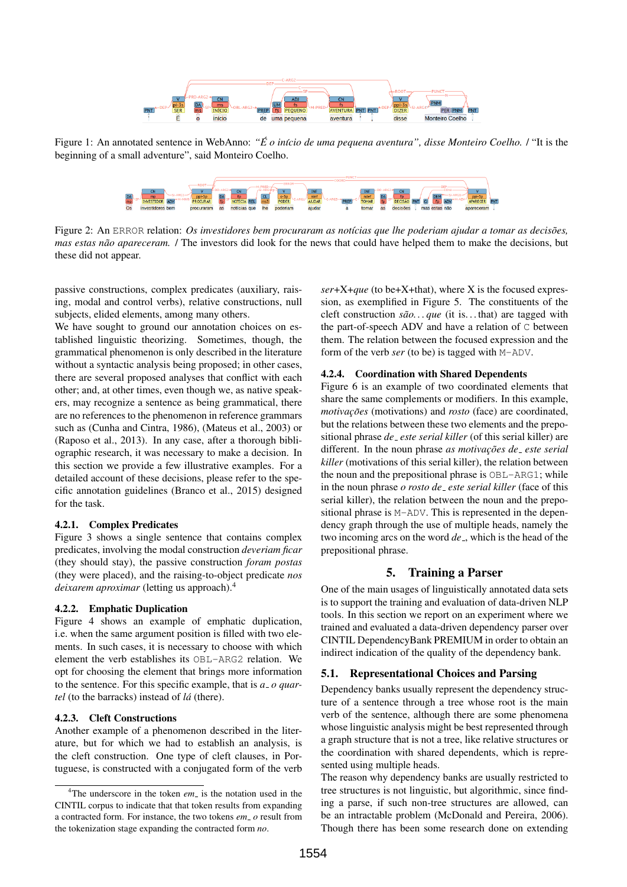

Figure 1: An annotated sentence in WebAnno: "É *o início de uma pequena aventura", disse Monteiro Coelho. l* "It is the beginning of a small adventure", said Monteiro Coelho.



Figure 2: An ERROR relation: *Os investidores bem procuraram as notícias que lhe poderiam ajudar a tomar as decisões*, *mas estas não apareceram.* / The investors did look for the news that could have helped them to make the decisions, but these did not appear.

passive constructions, complex predicates (auxiliary, raising, modal and control verbs), relative constructions, null subjects, elided elements, among many others.

We have sought to ground our annotation choices on established linguistic theorizing. Sometimes, though, the grammatical phenomenon is only described in the literature without a syntactic analysis being proposed; in other cases, there are several proposed analyses that conflict with each other; and, at other times, even though we, as native speakers, may recognize a sentence as being grammatical, there are no references to the phenomenon in reference grammars such as (Cunha and Cintra, 1986), (Mateus et al., 2003) or (Raposo et al., 2013). In any case, after a thorough bibliographic research, it was necessary to make a decision. In this section we provide a few illustrative examples. For a detailed account of these decisions, please refer to the specific annotation guidelines (Branco et al., 2015) designed for the task.

### 4.2.1. Complex Predicates

Figure 3 shows a single sentence that contains complex predicates, involving the modal construction *deveriam ficar* (they should stay), the passive construction *foram postas* (they were placed), and the raising-to-object predicate *nos deixarem aproximar* (letting us approach).<sup>4</sup>

#### 4.2.2. Emphatic Duplication

Figure 4 shows an example of emphatic duplication, i.e. when the same argument position is filled with two elements. In such cases, it is necessary to choose with which element the verb establishes its OBL-ARG2 relation. We opt for choosing the element that brings more information to the sentence. For this specific example, that is *a o quartel* (to the barracks) instead of *la´* (there).

#### 4.2.3. Cleft Constructions

Another example of a phenomenon described in the literature, but for which we had to establish an analysis, is the cleft construction. One type of cleft clauses, in Portuguese, is constructed with a conjugated form of the verb *ser*+X+*que* (to be+X+that), where X is the focused expression, as exemplified in Figure 5. The constituents of the cleft construction  $s\tilde{a}o...$  *que* (it is...that) are tagged with the part-of-speech ADV and have a relation of C between them. The relation between the focused expression and the form of the verb *ser* (to be) is tagged with M-ADV.

#### 4.2.4. Coordination with Shared Dependents

Figure 6 is an example of two coordinated elements that share the same complements or modifiers. In this example, *motivações* (motivations) and *rosto* (face) are coordinated, but the relations between these two elements and the prepositional phrase *de este serial killer* (of this serial killer) are different. In the noun phrase *as motivações de \_ este serial killer* (motivations of this serial killer), the relation between the noun and the prepositional phrase is OBL-ARG1; while in the noun phrase *o rosto de este serial killer* (face of this serial killer), the relation between the noun and the prepositional phrase is M-ADV. This is represented in the dependency graph through the use of multiple heads, namely the two incoming arcs on the word *de*, which is the head of the prepositional phrase.

# 5. Training a Parser

One of the main usages of linguistically annotated data sets is to support the training and evaluation of data-driven NLP tools. In this section we report on an experiment where we trained and evaluated a data-driven dependency parser over CINTIL DependencyBank PREMIUM in order to obtain an indirect indication of the quality of the dependency bank.

### 5.1. Representational Choices and Parsing

Dependency banks usually represent the dependency structure of a sentence through a tree whose root is the main verb of the sentence, although there are some phenomena whose linguistic analysis might be best represented through a graph structure that is not a tree, like relative structures or the coordination with shared dependents, which is represented using multiple heads.

The reason why dependency banks are usually restricted to tree structures is not linguistic, but algorithmic, since finding a parse, if such non-tree structures are allowed, can be an intractable problem (McDonald and Pereira, 2006). Though there has been some research done on extending

<sup>&</sup>lt;sup>4</sup>The underscore in the token *em* is the notation used in the CINTIL corpus to indicate that that token results from expanding a contracted form. For instance, the two tokens *em o* result from the tokenization stage expanding the contracted form *no*.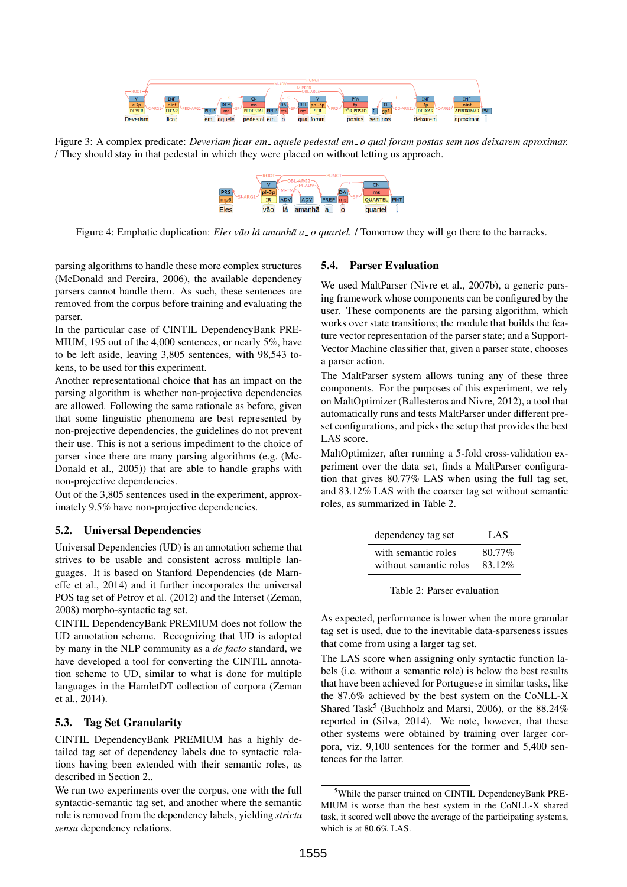

Figure 3: A complex predicate: *Deveriam ficar em aquele pedestal em o qual foram postas sem nos deixarem aproximar.* / They should stay in that pedestal in which they were placed on without letting us approach.



Figure 4: Emphatic duplication: *Eles vão lá amanhã a o quartel.* / Tomorrow they will go there to the barracks.

parsing algorithms to handle these more complex structures (McDonald and Pereira, 2006), the available dependency parsers cannot handle them. As such, these sentences are removed from the corpus before training and evaluating the parser.

In the particular case of CINTIL DependencyBank PRE-MIUM, 195 out of the 4,000 sentences, or nearly 5%, have to be left aside, leaving 3,805 sentences, with 98,543 tokens, to be used for this experiment.

Another representational choice that has an impact on the parsing algorithm is whether non-projective dependencies are allowed. Following the same rationale as before, given that some linguistic phenomena are best represented by non-projective dependencies, the guidelines do not prevent their use. This is not a serious impediment to the choice of parser since there are many parsing algorithms (e.g. (Mc-Donald et al., 2005)) that are able to handle graphs with non-projective dependencies.

Out of the 3,805 sentences used in the experiment, approximately 9.5% have non-projective dependencies.

#### 5.2. Universal Dependencies

Universal Dependencies (UD) is an annotation scheme that strives to be usable and consistent across multiple languages. It is based on Stanford Dependencies (de Marneffe et al., 2014) and it further incorporates the universal POS tag set of Petrov et al. (2012) and the Interset (Zeman, 2008) morpho-syntactic tag set.

CINTIL DependencyBank PREMIUM does not follow the UD annotation scheme. Recognizing that UD is adopted by many in the NLP community as a *de facto* standard, we have developed a tool for converting the CINTIL annotation scheme to UD, similar to what is done for multiple languages in the HamletDT collection of corpora (Zeman et al., 2014).

#### 5.3. Tag Set Granularity

CINTIL DependencyBank PREMIUM has a highly detailed tag set of dependency labels due to syntactic relations having been extended with their semantic roles, as described in Section 2..

We run two experiments over the corpus, one with the full syntactic-semantic tag set, and another where the semantic role is removed from the dependency labels, yielding *strictu sensu* dependency relations.

#### 5.4. Parser Evaluation

We used MaltParser (Nivre et al., 2007b), a generic parsing framework whose components can be configured by the user. These components are the parsing algorithm, which works over state transitions; the module that builds the feature vector representation of the parser state; and a Support-Vector Machine classifier that, given a parser state, chooses a parser action.

The MaltParser system allows tuning any of these three components. For the purposes of this experiment, we rely on MaltOptimizer (Ballesteros and Nivre, 2012), a tool that automatically runs and tests MaltParser under different preset configurations, and picks the setup that provides the best LAS score.

MaltOptimizer, after running a 5-fold cross-validation experiment over the data set, finds a MaltParser configuration that gives 80.77% LAS when using the full tag set, and 83.12% LAS with the coarser tag set without semantic roles, as summarized in Table 2.

| dependency tag set     | LAS    |
|------------------------|--------|
| with semantic roles    | 80.77% |
| without semantic roles | 83.12% |

Table 2: Parser evaluation

As expected, performance is lower when the more granular tag set is used, due to the inevitable data-sparseness issues that come from using a larger tag set.

The LAS score when assigning only syntactic function labels (i.e. without a semantic role) is below the best results that have been achieved for Portuguese in similar tasks, like the 87.6% achieved by the best system on the CoNLL-X Shared Task<sup>5</sup> (Buchholz and Marsi, 2006), or the  $88.24\%$ reported in (Silva, 2014). We note, however, that these other systems were obtained by training over larger corpora, viz. 9,100 sentences for the former and 5,400 sentences for the latter.

<sup>&</sup>lt;sup>5</sup>While the parser trained on CINTIL DependencyBank PRE-MIUM is worse than the best system in the CoNLL-X shared task, it scored well above the average of the participating systems, which is at 80.6% LAS.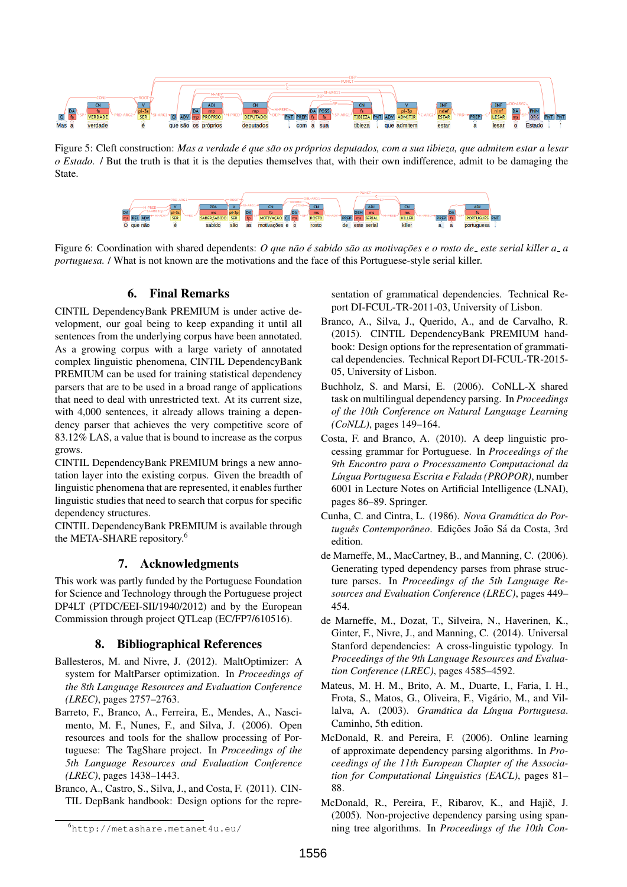

Figure 5: Cleft construction: Mas a verdade é que são os próprios deputados, com a sua tibieza, que admitem estar a lesar *o Estado.* / But the truth is that it is the deputies themselves that, with their own indifference, admit to be damaging the State.



Figure 6: Coordination with shared dependents: *O que não é sabido são as motivações e o rosto de<sub>-</sub> este serial killer a a portuguesa.* / What is not known are the motivations and the face of this Portuguese-style serial killer.

# 6. Final Remarks

CINTIL DependencyBank PREMIUM is under active development, our goal being to keep expanding it until all sentences from the underlying corpus have been annotated. As a growing corpus with a large variety of annotated complex linguistic phenomena, CINTIL DependencyBank PREMIUM can be used for training statistical dependency parsers that are to be used in a broad range of applications that need to deal with unrestricted text. At its current size, with 4,000 sentences, it already allows training a dependency parser that achieves the very competitive score of 83.12% LAS, a value that is bound to increase as the corpus grows.

CINTIL DependencyBank PREMIUM brings a new annotation layer into the existing corpus. Given the breadth of linguistic phenomena that are represented, it enables further linguistic studies that need to search that corpus for specific dependency structures.

CINTIL DependencyBank PREMIUM is available through the META-SHARE repository.<sup>6</sup>

# 7. Acknowledgments

This work was partly funded by the Portuguese Foundation for Science and Technology through the Portuguese project DP4LT (PTDC/EEI-SII/1940/2012) and by the European Commission through project QTLeap (EC/FP7/610516).

# 8. Bibliographical References

- Ballesteros, M. and Nivre, J. (2012). MaltOptimizer: A system for MaltParser optimization. In *Proceedings of the 8th Language Resources and Evaluation Conference (LREC)*, pages 2757–2763.
- Barreto, F., Branco, A., Ferreira, E., Mendes, A., Nascimento, M. F., Nunes, F., and Silva, J. (2006). Open resources and tools for the shallow processing of Portuguese: The TagShare project. In *Proceedings of the 5th Language Resources and Evaluation Conference (LREC)*, pages 1438–1443.
- Branco, A., Castro, S., Silva, J., and Costa, F. (2011). CIN-TIL DepBank handbook: Design options for the repre-

sentation of grammatical dependencies. Technical Report DI-FCUL-TR-2011-03, University of Lisbon.

- Branco, A., Silva, J., Querido, A., and de Carvalho, R. (2015). CINTIL DependencyBank PREMIUM handbook: Design options for the representation of grammatical dependencies. Technical Report DI-FCUL-TR-2015- 05, University of Lisbon.
- Buchholz, S. and Marsi, E. (2006). CoNLL-X shared task on multilingual dependency parsing. In *Proceedings of the 10th Conference on Natural Language Learning (CoNLL)*, pages 149–164.
- Costa, F. and Branco, A. (2010). A deep linguistic processing grammar for Portuguese. In *Proceedings of the 9th Encontro para o Processamento Computacional da L´ıngua Portuguesa Escrita e Falada (PROPOR)*, number 6001 in Lecture Notes on Artificial Intelligence (LNAI), pages 86–89. Springer.
- Cunha, C. and Cintra, L. (1986). *Nova Gramatica do Por- ´ tugues Contempor ˆ aneo ˆ* . Edic¸oes Jo ˜ ao S ˜ a da Costa, 3rd ´ edition.
- de Marneffe, M., MacCartney, B., and Manning, C. (2006). Generating typed dependency parses from phrase structure parses. In *Proceedings of the 5th Language Resources and Evaluation Conference (LREC)*, pages 449– 454.
- de Marneffe, M., Dozat, T., Silveira, N., Haverinen, K., Ginter, F., Nivre, J., and Manning, C. (2014). Universal Stanford dependencies: A cross-linguistic typology. In *Proceedings of the 9th Language Resources and Evaluation Conference (LREC)*, pages 4585–4592.
- Mateus, M. H. M., Brito, A. M., Duarte, I., Faria, I. H., Frota, S., Matos, G., Oliveira, F., Vigário, M., and Villalva, A. (2003). *Gramática da Língua Portuguesa*. Caminho, 5th edition.
- McDonald, R. and Pereira, F. (2006). Online learning of approximate dependency parsing algorithms. In *Proceedings of the 11th European Chapter of the Association for Computational Linguistics (EACL)*, pages 81– 88.
- McDonald, R., Pereira, F., Ribarov, K., and Hajič, J. (2005). Non-projective dependency parsing using spanning tree algorithms. In *Proceedings of the 10th Con-*

<sup>6</sup>http://metashare.metanet4u.eu/